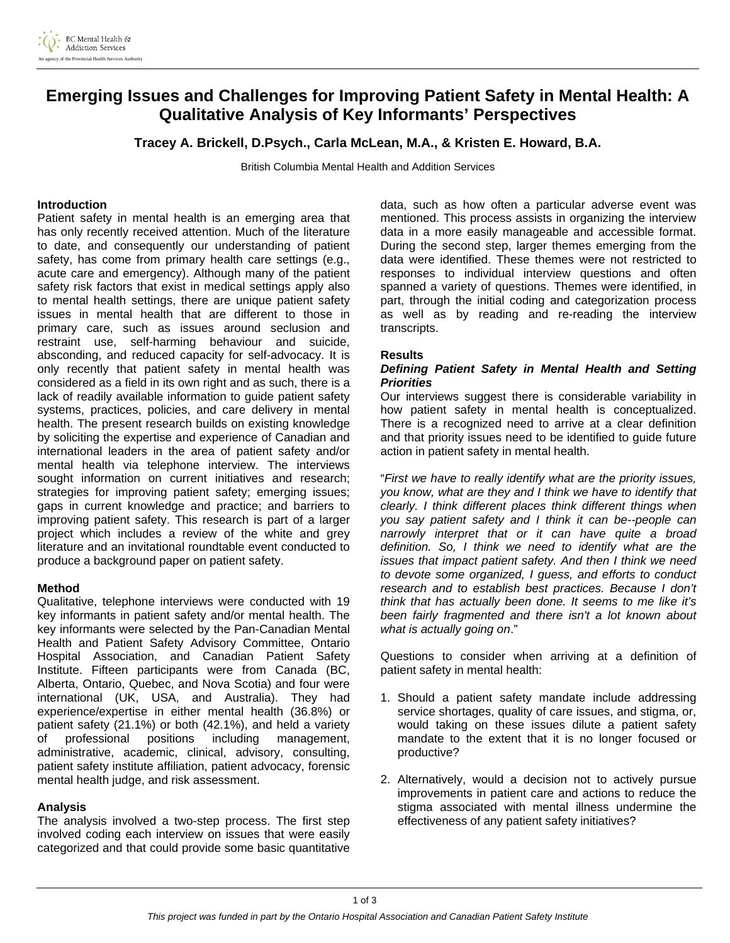

# **Emerging Issues and Challenges for Improving Patient Safety in Mental Health: A Qualitative Analysis of Key Informants' Perspectives**

**Tracey A. Brickell, D.Psych., Carla McLean, M.A., & Kristen E. Howard, B.A.** 

British Columbia Mental Health and Addition Services

### **Introduction**

Patient safety in mental health is an emerging area that has only recently received attention. Much of the literature to date, and consequently our understanding of patient safety, has come from primary health care settings (e.g., acute care and emergency). Although many of the patient safety risk factors that exist in medical settings apply also to mental health settings, there are unique patient safety issues in mental health that are different to those in primary care, such as issues around seclusion and restraint use, self-harming behaviour and suicide, absconding, and reduced capacity for self-advocacy. It is only recently that patient safety in mental health was considered as a field in its own right and as such, there is a lack of readily available information to guide patient safety systems, practices, policies, and care delivery in mental health. The present research builds on existing knowledge by soliciting the expertise and experience of Canadian and international leaders in the area of patient safety and/or mental health via telephone interview. The interviews sought information on current initiatives and research; strategies for improving patient safety; emerging issues; gaps in current knowledge and practice; and barriers to improving patient safety. This research is part of a larger project which includes a review of the white and grey literature and an invitational roundtable event conducted to produce a background paper on patient safety.

#### **Method**

Qualitative, telephone interviews were conducted with 19 key informants in patient safety and/or mental health. The key informants were selected by the Pan-Canadian Mental Health and Patient Safety Advisory Committee, Ontario Hospital Association, and Canadian Patient Safety Institute. Fifteen participants were from Canada (BC, Alberta, Ontario, Quebec, and Nova Scotia) and four were international (UK, USA, and Australia). They had experience/expertise in either mental health (36.8%) or patient safety (21.1%) or both (42.1%), and held a variety of professional positions including management, administrative, academic, clinical, advisory, consulting, patient safety institute affiliation, patient advocacy, forensic mental health judge, and risk assessment.

#### **Analysis**

The analysis involved a two-step process. The first step involved coding each interview on issues that were easily categorized and that could provide some basic quantitative data, such as how often a particular adverse event was mentioned. This process assists in organizing the interview data in a more easily manageable and accessible format. During the second step, larger themes emerging from the data were identified. These themes were not restricted to responses to individual interview questions and often spanned a variety of questions. Themes were identified, in part, through the initial coding and categorization process as well as by reading and re-reading the interview transcripts.

#### **Results**

#### *Defining Patient Safety in Mental Health and Setting Priorities*

Our interviews suggest there is considerable variability in how patient safety in mental health is conceptualized. There is a recognized need to arrive at a clear definition and that priority issues need to be identified to guide future action in patient safety in mental health.

"*First we have to really identify what are the priority issues, you know, what are they and I think we have to identify that clearly. I think different places think different things when you say patient safety and I think it can be--people can narrowly interpret that or it can have quite a broad definition. So, I think we need to identify what are the issues that impact patient safety. And then I think we need to devote some organized, I guess, and efforts to conduct research and to establish best practices. Because I don't think that has actually been done. It seems to me like it's been fairly fragmented and there isn't a lot known about what is actually going on*."

Questions to consider when arriving at a definition of patient safety in mental health:

- 1. Should a patient safety mandate include addressing service shortages, quality of care issues, and stigma, or, would taking on these issues dilute a patient safety mandate to the extent that it is no longer focused or productive?
- 2. Alternatively, would a decision not to actively pursue improvements in patient care and actions to reduce the stigma associated with mental illness undermine the effectiveness of any patient safety initiatives?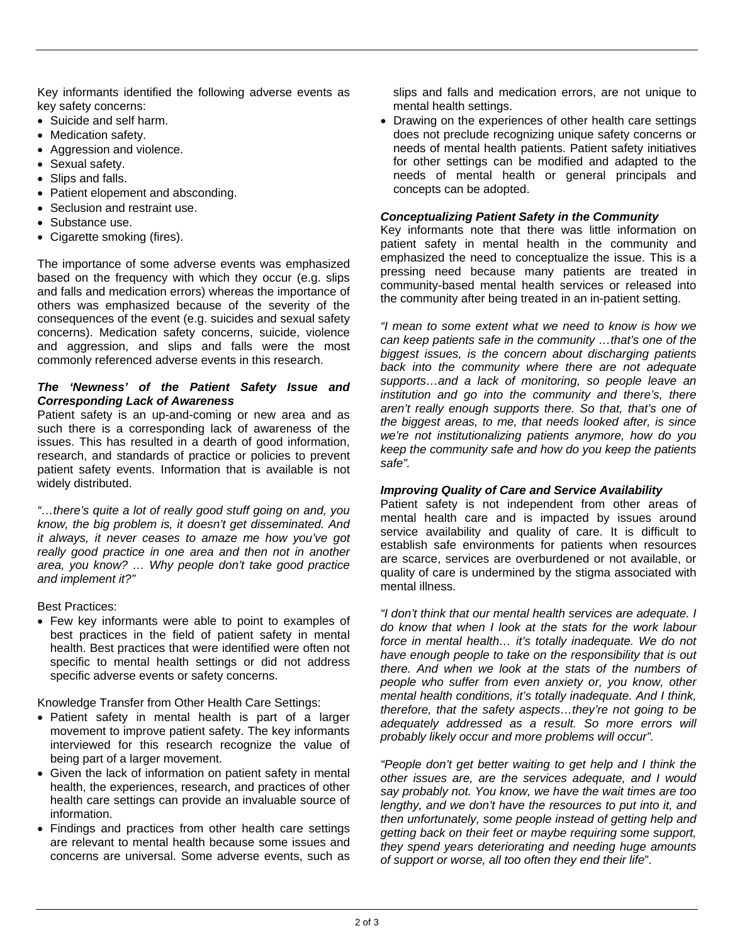Key informants identified the following adverse events as key safety concerns:

- Suicide and self harm.
- Medication safety.
- Aggression and violence.
- Sexual safety.
- Slips and falls.
- Patient elopement and absconding.
- Seclusion and restraint use.
- Substance use.
- Cigarette smoking (fires).

The importance of some adverse events was emphasized based on the frequency with which they occur (e.g. slips and falls and medication errors) whereas the importance of others was emphasized because of the severity of the consequences of the event (e.g. suicides and sexual safety concerns). Medication safety concerns, suicide, violence and aggression, and slips and falls were the most commonly referenced adverse events in this research.

## *The 'Newness' of the Patient Safety Issue and Corresponding Lack of Awareness*

Patient safety is an up-and-coming or new area and as such there is a corresponding lack of awareness of the issues. This has resulted in a dearth of good information, research, and standards of practice or policies to prevent patient safety events. Information that is available is not widely distributed.

*"…there's quite a lot of really good stuff going on and, you know, the big problem is, it doesn't get disseminated. And it always, it never ceases to amaze me how you've got really good practice in one area and then not in another area, you know? … Why people don't take good practice and implement it?"* 

Best Practices:

• Few key informants were able to point to examples of best practices in the field of patient safety in mental health. Best practices that were identified were often not specific to mental health settings or did not address specific adverse events or safety concerns.

Knowledge Transfer from Other Health Care Settings:

- Patient safety in mental health is part of a larger movement to improve patient safety. The key informants interviewed for this research recognize the value of being part of a larger movement.
- Given the lack of information on patient safety in mental health, the experiences, research, and practices of other health care settings can provide an invaluable source of information.
- Findings and practices from other health care settings are relevant to mental health because some issues and concerns are universal. Some adverse events, such as

slips and falls and medication errors, are not unique to mental health settings.

• Drawing on the experiences of other health care settings does not preclude recognizing unique safety concerns or needs of mental health patients. Patient safety initiatives for other settings can be modified and adapted to the needs of mental health or general principals and concepts can be adopted.

## *Conceptualizing Patient Safety in the Community*

Key informants note that there was little information on patient safety in mental health in the community and emphasized the need to conceptualize the issue. This is a pressing need because many patients are treated in community-based mental health services or released into the community after being treated in an in-patient setting.

*"I mean to some extent what we need to know is how we can keep patients safe in the community …that's one of the biggest issues, is the concern about discharging patients back into the community where there are not adequate supports…and a lack of monitoring, so people leave an institution and go into the community and there's, there aren't really enough supports there. So that, that's one of the biggest areas, to me, that needs looked after, is since we're not institutionalizing patients anymore, how do you keep the community safe and how do you keep the patients safe".* 

## *Improving Quality of Care and Service Availability*

Patient safety is not independent from other areas of mental health care and is impacted by issues around service availability and quality of care. It is difficult to establish safe environments for patients when resources are scarce, services are overburdened or not available, or quality of care is undermined by the stigma associated with mental illness.

*"I don't think that our mental health services are adequate. I do know that when I look at the stats for the work labour force in mental health… it's totally inadequate. We do not have enough people to take on the responsibility that is out there. And when we look at the stats of the numbers of people who suffer from even anxiety or, you know, other mental health conditions, it's totally inadequate. And I think, therefore, that the safety aspects…they're not going to be adequately addressed as a result. So more errors will probably likely occur and more problems will occur".* 

*"People don't get better waiting to get help and I think the other issues are, are the services adequate, and I would say probably not. You know, we have the wait times are too lengthy, and we don't have the resources to put into it, and then unfortunately, some people instead of getting help and getting back on their feet or maybe requiring some support, they spend years deteriorating and needing huge amounts of support or worse, all too often they end their life*"*.*